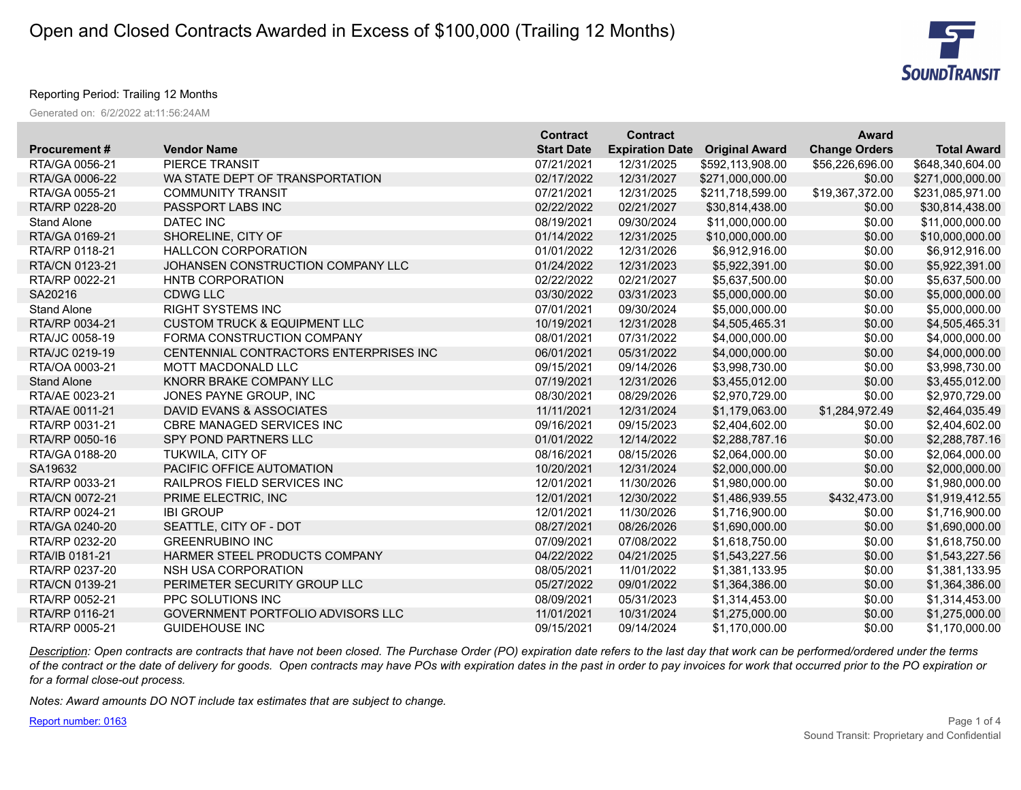

## Reporting Period: Trailing 12 Months

Generated on: 6/2/2022 at:11:56:24AM

|                     |                                         | <b>Contract</b>   | <b>Contract</b>        |                       | <b>Award</b>         |                    |
|---------------------|-----------------------------------------|-------------------|------------------------|-----------------------|----------------------|--------------------|
| <b>Procurement#</b> | <b>Vendor Name</b>                      | <b>Start Date</b> | <b>Expiration Date</b> | <b>Original Award</b> | <b>Change Orders</b> | <b>Total Award</b> |
| RTA/GA 0056-21      | PIERCE TRANSIT                          | 07/21/2021        | 12/31/2025             | \$592,113,908.00      | \$56,226,696.00      | \$648,340,604.00   |
| RTA/GA 0006-22      | WA STATE DEPT OF TRANSPORTATION         | 02/17/2022        | 12/31/2027             | \$271,000,000.00      | \$0.00               | \$271,000,000.00   |
| RTA/GA 0055-21      | <b>COMMUNITY TRANSIT</b>                | 07/21/2021        | 12/31/2025             | \$211,718,599.00      | \$19,367,372.00      | \$231,085,971.00   |
| RTA/RP 0228-20      | PASSPORT LABS INC                       | 02/22/2022        | 02/21/2027             | \$30,814,438.00       | \$0.00               | \$30,814,438.00    |
| <b>Stand Alone</b>  | DATEC INC                               | 08/19/2021        | 09/30/2024             | \$11,000,000.00       | \$0.00               | \$11,000,000.00    |
| RTA/GA 0169-21      | SHORELINE, CITY OF                      | 01/14/2022        | 12/31/2025             | \$10,000,000.00       | \$0.00               | \$10,000,000.00    |
| RTA/RP 0118-21      | <b>HALLCON CORPORATION</b>              | 01/01/2022        | 12/31/2026             | \$6,912,916.00        | \$0.00               | \$6,912,916.00     |
| RTA/CN 0123-21      | JOHANSEN CONSTRUCTION COMPANY LLC       | 01/24/2022        | 12/31/2023             | \$5,922,391.00        | \$0.00               | \$5,922,391.00     |
| RTA/RP 0022-21      | HNTB CORPORATION                        | 02/22/2022        | 02/21/2027             | \$5,637,500.00        | \$0.00               | \$5,637,500.00     |
| SA20216             | <b>CDWG LLC</b>                         | 03/30/2022        | 03/31/2023             | \$5,000,000.00        | \$0.00               | \$5,000,000.00     |
| <b>Stand Alone</b>  | <b>RIGHT SYSTEMS INC</b>                | 07/01/2021        | 09/30/2024             | \$5,000,000.00        | \$0.00               | \$5,000,000.00     |
| RTA/RP 0034-21      | <b>CUSTOM TRUCK &amp; EQUIPMENT LLC</b> | 10/19/2021        | 12/31/2028             | \$4,505,465.31        | \$0.00               | \$4,505,465.31     |
| RTA/JC 0058-19      | FORMA CONSTRUCTION COMPANY              | 08/01/2021        | 07/31/2022             | \$4,000,000.00        | \$0.00               | \$4,000,000.00     |
| RTA/JC 0219-19      | CENTENNIAL CONTRACTORS ENTERPRISES INC  | 06/01/2021        | 05/31/2022             | \$4,000,000.00        | \$0.00               | \$4,000,000.00     |
| RTA/OA 0003-21      | <b>MOTT MACDONALD LLC</b>               | 09/15/2021        | 09/14/2026             | \$3,998,730.00        | \$0.00               | \$3,998,730.00     |
| <b>Stand Alone</b>  | KNORR BRAKE COMPANY LLC                 | 07/19/2021        | 12/31/2026             | \$3,455,012.00        | \$0.00               | \$3,455,012.00     |
| RTA/AE 0023-21      | JONES PAYNE GROUP, INC                  | 08/30/2021        | 08/29/2026             | \$2,970,729.00        | \$0.00               | \$2,970,729.00     |
| RTA/AE 0011-21      | DAVID EVANS & ASSOCIATES                | 11/11/2021        | 12/31/2024             | \$1,179,063.00        | \$1,284,972.49       | \$2,464,035.49     |
| RTA/RP 0031-21      | <b>CBRE MANAGED SERVICES INC</b>        | 09/16/2021        | 09/15/2023             | \$2,404,602.00        | \$0.00               | \$2,404,602.00     |
| RTA/RP 0050-16      | SPY POND PARTNERS LLC                   | 01/01/2022        | 12/14/2022             | \$2,288,787.16        | \$0.00               | \$2,288,787.16     |
| RTA/GA 0188-20      | <b>TUKWILA, CITY OF</b>                 | 08/16/2021        | 08/15/2026             | \$2,064,000.00        | \$0.00               | \$2,064,000.00     |
| SA19632             | PACIFIC OFFICE AUTOMATION               | 10/20/2021        | 12/31/2024             | \$2,000,000.00        | \$0.00               | \$2,000,000.00     |
| RTA/RP 0033-21      | <b>RAILPROS FIELD SERVICES INC</b>      | 12/01/2021        | 11/30/2026             | \$1,980,000.00        | \$0.00               | \$1,980,000.00     |
| RTA/CN 0072-21      | PRIME ELECTRIC, INC                     | 12/01/2021        | 12/30/2022             | \$1,486,939.55        | \$432,473.00         | \$1,919,412.55     |
| RTA/RP 0024-21      | <b>IBI GROUP</b>                        | 12/01/2021        | 11/30/2026             | \$1,716,900.00        | \$0.00               | \$1,716,900.00     |
| RTA/GA 0240-20      | SEATTLE, CITY OF - DOT                  | 08/27/2021        | 08/26/2026             | \$1,690,000.00        | \$0.00               | \$1,690,000.00     |
| RTA/RP 0232-20      | <b>GREENRUBINO INC</b>                  | 07/09/2021        | 07/08/2022             | \$1,618,750.00        | \$0.00               | \$1,618,750.00     |
| RTA/IB 0181-21      | HARMER STEEL PRODUCTS COMPANY           | 04/22/2022        | 04/21/2025             | \$1,543,227.56        | \$0.00               | \$1,543,227.56     |
| RTA/RP 0237-20      | NSH USA CORPORATION                     | 08/05/2021        | 11/01/2022             | \$1,381,133.95        | \$0.00               | \$1,381,133.95     |
| RTA/CN 0139-21      | PERIMETER SECURITY GROUP LLC            | 05/27/2022        | 09/01/2022             | \$1,364,386.00        | \$0.00               | \$1,364,386.00     |
| RTA/RP 0052-21      | PPC SOLUTIONS INC                       | 08/09/2021        | 05/31/2023             | \$1,314,453.00        | \$0.00               | \$1,314,453.00     |
| RTA/RP 0116-21      | GOVERNMENT PORTFOLIO ADVISORS LLC       | 11/01/2021        | 10/31/2024             | \$1,275,000.00        | \$0.00               | \$1,275,000.00     |
| RTA/RP 0005-21      | <b>GUIDEHOUSE INC</b>                   | 09/15/2021        | 09/14/2024             | \$1.170.000.00        | \$0.00               | \$1,170,000.00     |

*Description: Open contracts are contracts that have not been closed. The Purchase Order (PO) expiration date refers to the last day that work can be performed/ordered under the terms of the contract or the date of delivery for goods. Open contracts may have POs with expiration dates in the past in order to pay invoices for work that occurred prior to the PO expiration or for a formal close-out process.*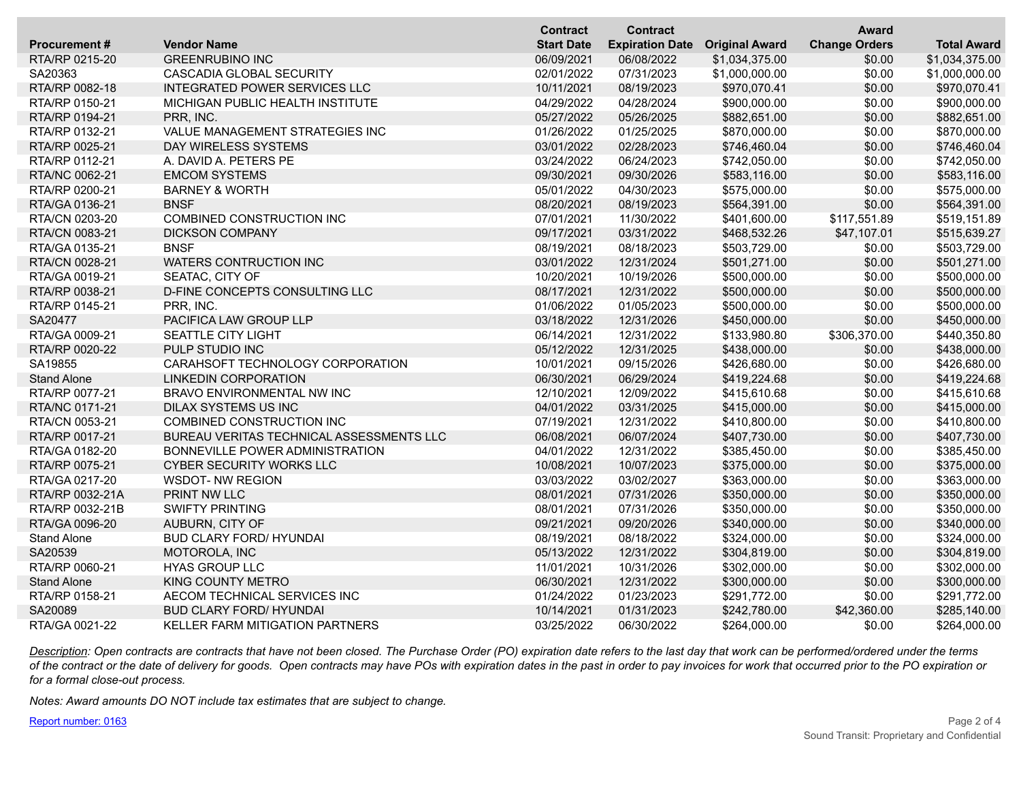|                     |                                          | <b>Contract</b>   | <b>Contract</b>        |                       | <b>Award</b>         |                    |
|---------------------|------------------------------------------|-------------------|------------------------|-----------------------|----------------------|--------------------|
| <b>Procurement#</b> | <b>Vendor Name</b>                       | <b>Start Date</b> | <b>Expiration Date</b> | <b>Original Award</b> | <b>Change Orders</b> | <b>Total Award</b> |
| RTA/RP 0215-20      | <b>GREENRUBINO INC</b>                   | 06/09/2021        | 06/08/2022             | \$1,034,375.00        | \$0.00               | \$1,034,375.00     |
| SA20363             | CASCADIA GLOBAL SECURITY                 | 02/01/2022        | 07/31/2023             | \$1,000,000.00        | \$0.00               | \$1,000,000.00     |
| RTA/RP 0082-18      | <b>INTEGRATED POWER SERVICES LLC</b>     | 10/11/2021        | 08/19/2023             | \$970,070.41          | \$0.00               | \$970,070.41       |
| RTA/RP 0150-21      | MICHIGAN PUBLIC HEALTH INSTITUTE         | 04/29/2022        | 04/28/2024             | \$900,000.00          | \$0.00               | \$900,000.00       |
| RTA/RP 0194-21      | PRR, INC.                                | 05/27/2022        | 05/26/2025             | \$882,651.00          | \$0.00               | \$882,651.00       |
| RTA/RP 0132-21      | VALUE MANAGEMENT STRATEGIES INC          | 01/26/2022        | 01/25/2025             | \$870,000.00          | \$0.00               | \$870,000.00       |
| RTA/RP 0025-21      | DAY WIRELESS SYSTEMS                     | 03/01/2022        | 02/28/2023             | \$746,460.04          | \$0.00               | \$746,460.04       |
| RTA/RP 0112-21      | A. DAVID A. PETERS PE                    | 03/24/2022        | 06/24/2023             | \$742,050.00          | \$0.00               | \$742,050.00       |
| RTA/NC 0062-21      | <b>EMCOM SYSTEMS</b>                     | 09/30/2021        | 09/30/2026             | \$583,116.00          | \$0.00               | \$583,116.00       |
| RTA/RP 0200-21      | <b>BARNEY &amp; WORTH</b>                | 05/01/2022        | 04/30/2023             | \$575,000.00          | \$0.00               | \$575,000.00       |
| RTA/GA 0136-21      | <b>BNSF</b>                              | 08/20/2021        | 08/19/2023             | \$564,391.00          | \$0.00               | \$564,391.00       |
| RTA/CN 0203-20      | <b>COMBINED CONSTRUCTION INC</b>         | 07/01/2021        | 11/30/2022             | \$401,600.00          | \$117,551.89         | \$519,151.89       |
| RTA/CN 0083-21      | <b>DICKSON COMPANY</b>                   | 09/17/2021        | 03/31/2022             | \$468,532.26          | \$47,107.01          | \$515,639.27       |
| RTA/GA 0135-21      | <b>BNSF</b>                              | 08/19/2021        | 08/18/2023             | \$503,729.00          | \$0.00               | \$503,729.00       |
| RTA/CN 0028-21      | WATERS CONTRUCTION INC                   | 03/01/2022        | 12/31/2024             | \$501,271.00          | \$0.00               | \$501,271.00       |
| RTA/GA 0019-21      | SEATAC, CITY OF                          | 10/20/2021        | 10/19/2026             | \$500,000.00          | \$0.00               | \$500,000.00       |
| RTA/RP 0038-21      | D-FINE CONCEPTS CONSULTING LLC           | 08/17/2021        | 12/31/2022             | \$500,000.00          | \$0.00               | \$500,000.00       |
| RTA/RP 0145-21      | PRR, INC.                                | 01/06/2022        | 01/05/2023             | \$500,000.00          | \$0.00               | \$500,000.00       |
| SA20477             | PACIFICA LAW GROUP LLP                   | 03/18/2022        | 12/31/2026             | \$450,000.00          | \$0.00               | \$450,000.00       |
| RTA/GA 0009-21      | SEATTLE CITY LIGHT                       | 06/14/2021        | 12/31/2022             | \$133,980.80          | \$306,370.00         | \$440,350.80       |
| RTA/RP 0020-22      | PULP STUDIO INC                          | 05/12/2022        | 12/31/2025             | \$438,000.00          | \$0.00               | \$438,000.00       |
| SA19855             | CARAHSOFT TECHNOLOGY CORPORATION         | 10/01/2021        | 09/15/2026             | \$426,680.00          | \$0.00               | \$426,680.00       |
| <b>Stand Alone</b>  | <b>LINKEDIN CORPORATION</b>              | 06/30/2021        | 06/29/2024             | \$419,224.68          | \$0.00               | \$419,224.68       |
| RTA/RP 0077-21      | BRAVO ENVIRONMENTAL NW INC               | 12/10/2021        | 12/09/2022             | \$415,610.68          | \$0.00               | \$415,610.68       |
| RTA/NC 0171-21      | DILAX SYSTEMS US INC                     | 04/01/2022        | 03/31/2025             | \$415,000.00          | \$0.00               | \$415,000.00       |
| RTA/CN 0053-21      | COMBINED CONSTRUCTION INC                | 07/19/2021        | 12/31/2022             | \$410,800.00          | \$0.00               | \$410,800.00       |
| RTA/RP 0017-21      | BUREAU VERITAS TECHNICAL ASSESSMENTS LLC | 06/08/2021        | 06/07/2024             | \$407,730.00          | \$0.00               | \$407,730.00       |
| RTA/GA 0182-20      | BONNEVILLE POWER ADMINISTRATION          | 04/01/2022        | 12/31/2022             | \$385,450.00          | \$0.00               | \$385,450.00       |
| RTA/RP 0075-21      | <b>CYBER SECURITY WORKS LLC</b>          | 10/08/2021        | 10/07/2023             | \$375,000.00          | \$0.00               | \$375,000.00       |
| RTA/GA 0217-20      | <b>WSDOT-NW REGION</b>                   | 03/03/2022        | 03/02/2027             | \$363,000.00          | \$0.00               | \$363,000.00       |
| RTA/RP 0032-21A     | PRINT NW LLC                             | 08/01/2021        | 07/31/2026             | \$350,000.00          | \$0.00               | \$350,000.00       |
| RTA/RP 0032-21B     | <b>SWIFTY PRINTING</b>                   | 08/01/2021        | 07/31/2026             | \$350,000.00          | \$0.00               | \$350,000.00       |
| RTA/GA 0096-20      | AUBURN, CITY OF                          | 09/21/2021        | 09/20/2026             | \$340,000.00          | \$0.00               | \$340,000.00       |
| <b>Stand Alone</b>  | <b>BUD CLARY FORD/ HYUNDAI</b>           | 08/19/2021        | 08/18/2022             | \$324,000.00          | \$0.00               | \$324,000.00       |
| SA20539             | MOTOROLA, INC                            | 05/13/2022        | 12/31/2022             | \$304,819.00          | \$0.00               | \$304,819.00       |
| RTA/RP 0060-21      | <b>HYAS GROUP LLC</b>                    | 11/01/2021        | 10/31/2026             | \$302,000.00          | \$0.00               | \$302,000.00       |
| <b>Stand Alone</b>  | <b>KING COUNTY METRO</b>                 | 06/30/2021        | 12/31/2022             | \$300,000.00          | \$0.00               | \$300,000.00       |
| RTA/RP 0158-21      | AECOM TECHNICAL SERVICES INC             | 01/24/2022        | 01/23/2023             | \$291,772.00          | \$0.00               | \$291,772.00       |
| SA20089             | <b>BUD CLARY FORD/ HYUNDAI</b>           | 10/14/2021        | 01/31/2023             | \$242,780.00          | \$42,360.00          | \$285,140.00       |
| RTA/GA 0021-22      | <b>KELLER FARM MITIGATION PARTNERS</b>   | 03/25/2022        | 06/30/2022             | \$264,000.00          | \$0.00               | \$264,000.00       |

*Description: Open contracts are contracts that have not been closed. The Purchase Order (PO) expiration date refers to the last day that work can be performed/ordered under the terms of the contract or the date of delivery for goods. Open contracts may have POs with expiration dates in the past in order to pay invoices for work that occurred prior to the PO expiration or for a formal close-out process.*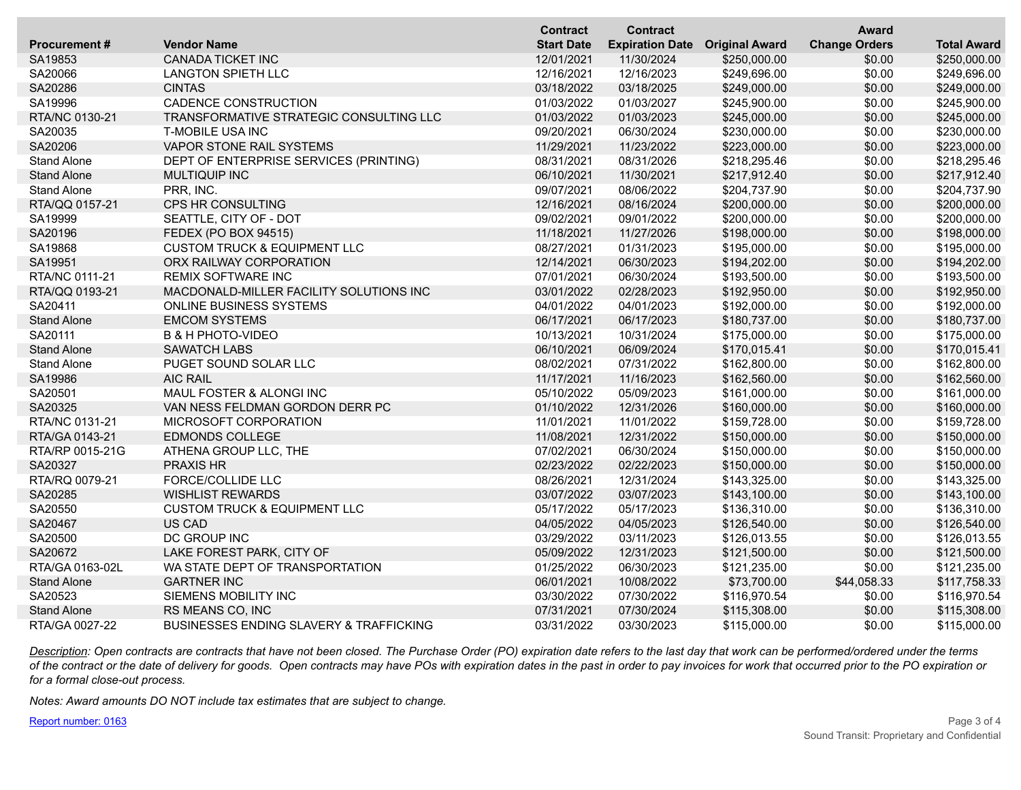|                     |                                                    | <b>Contract</b>   | <b>Contract</b>        |                       | <b>Award</b>         |                    |
|---------------------|----------------------------------------------------|-------------------|------------------------|-----------------------|----------------------|--------------------|
| <b>Procurement#</b> | <b>Vendor Name</b>                                 | <b>Start Date</b> | <b>Expiration Date</b> | <b>Original Award</b> | <b>Change Orders</b> | <b>Total Award</b> |
| SA19853             | CANADA TICKET INC                                  | 12/01/2021        | 11/30/2024             | \$250,000.00          | \$0.00               | \$250,000.00       |
| SA20066             | <b>LANGTON SPIETH LLC</b>                          | 12/16/2021        | 12/16/2023             | \$249,696.00          | \$0.00               | \$249,696.00       |
| SA20286             | <b>CINTAS</b>                                      | 03/18/2022        | 03/18/2025             | \$249,000.00          | \$0.00               | \$249,000.00       |
| SA19996             | CADENCE CONSTRUCTION                               | 01/03/2022        | 01/03/2027             | \$245,900.00          | \$0.00               | \$245,900.00       |
| RTA/NC 0130-21      | TRANSFORMATIVE STRATEGIC CONSULTING LLC            | 01/03/2022        | 01/03/2023             | \$245,000.00          | \$0.00               | \$245,000.00       |
| SA20035             | <b>T-MOBILE USA INC</b>                            | 09/20/2021        | 06/30/2024             | \$230,000.00          | \$0.00               | \$230,000.00       |
| SA20206             | VAPOR STONE RAIL SYSTEMS                           | 11/29/2021        | 11/23/2022             | \$223,000.00          | \$0.00               | \$223,000.00       |
| <b>Stand Alone</b>  | DEPT OF ENTERPRISE SERVICES (PRINTING)             | 08/31/2021        | 08/31/2026             | \$218,295.46          | \$0.00               | \$218,295.46       |
| <b>Stand Alone</b>  | <b>MULTIQUIP INC</b>                               | 06/10/2021        | 11/30/2021             | \$217,912.40          | \$0.00               | \$217,912.40       |
| <b>Stand Alone</b>  | PRR, INC.                                          | 09/07/2021        | 08/06/2022             | \$204,737.90          | \$0.00               | \$204,737.90       |
| RTA/QQ 0157-21      | <b>CPS HR CONSULTING</b>                           | 12/16/2021        | 08/16/2024             | \$200,000.00          | \$0.00               | \$200,000.00       |
| SA19999             | SEATTLE, CITY OF - DOT                             | 09/02/2021        | 09/01/2022             | \$200,000.00          | \$0.00               | \$200,000.00       |
| SA20196             | <b>FEDEX (PO BOX 94515)</b>                        | 11/18/2021        | 11/27/2026             | \$198,000.00          | \$0.00               | \$198,000.00       |
| SA19868             | <b>CUSTOM TRUCK &amp; EQUIPMENT LLC</b>            | 08/27/2021        | 01/31/2023             | \$195,000.00          | \$0.00               | \$195,000.00       |
| SA19951             | ORX RAILWAY CORPORATION                            | 12/14/2021        | 06/30/2023             | \$194,202.00          | \$0.00               | \$194,202.00       |
| RTA/NC 0111-21      | <b>REMIX SOFTWARE INC</b>                          | 07/01/2021        | 06/30/2024             | \$193,500.00          | \$0.00               | \$193,500.00       |
| RTA/QQ 0193-21      | MACDONALD-MILLER FACILITY SOLUTIONS INC            | 03/01/2022        | 02/28/2023             | \$192,950.00          | \$0.00               | \$192,950.00       |
| SA20411             | <b>ONLINE BUSINESS SYSTEMS</b>                     | 04/01/2022        | 04/01/2023             | \$192,000.00          | \$0.00               | \$192,000.00       |
| <b>Stand Alone</b>  | <b>EMCOM SYSTEMS</b>                               | 06/17/2021        | 06/17/2023             | \$180,737.00          | \$0.00               | \$180,737.00       |
| SA20111             | <b>B &amp; H PHOTO-VIDEO</b>                       | 10/13/2021        | 10/31/2024             | \$175,000.00          | \$0.00               | \$175,000.00       |
| <b>Stand Alone</b>  | <b>SAWATCH LABS</b>                                | 06/10/2021        | 06/09/2024             | \$170,015.41          | \$0.00               | \$170,015.41       |
| <b>Stand Alone</b>  | PUGET SOUND SOLAR LLC                              | 08/02/2021        | 07/31/2022             | \$162,800.00          | \$0.00               | \$162,800.00       |
| SA19986             | <b>AIC RAIL</b>                                    | 11/17/2021        | 11/16/2023             | \$162,560.00          | \$0.00               | \$162,560.00       |
| SA20501             | MAUL FOSTER & ALONGI INC                           | 05/10/2022        | 05/09/2023             | \$161,000.00          | \$0.00               | \$161,000.00       |
| SA20325             | VAN NESS FELDMAN GORDON DERR PC                    | 01/10/2022        | 12/31/2026             | \$160,000.00          | \$0.00               | \$160,000.00       |
| RTA/NC 0131-21      | MICROSOFT CORPORATION                              | 11/01/2021        | 11/01/2022             | \$159,728.00          | \$0.00               | \$159,728.00       |
| RTA/GA 0143-21      | <b>EDMONDS COLLEGE</b>                             | 11/08/2021        | 12/31/2022             | \$150,000.00          | \$0.00               | \$150,000.00       |
| RTA/RP 0015-21G     | ATHENA GROUP LLC, THE                              | 07/02/2021        | 06/30/2024             | \$150,000.00          | \$0.00               | \$150,000.00       |
| SA20327             | <b>PRAXIS HR</b>                                   | 02/23/2022        | 02/22/2023             | \$150,000.00          | \$0.00               | \$150,000.00       |
| RTA/RQ 0079-21      | FORCE/COLLIDE LLC                                  | 08/26/2021        | 12/31/2024             | \$143,325.00          | \$0.00               | \$143,325.00       |
| SA20285             | <b>WISHLIST REWARDS</b>                            | 03/07/2022        | 03/07/2023             | \$143,100.00          | \$0.00               | \$143,100.00       |
| SA20550             | <b>CUSTOM TRUCK &amp; EQUIPMENT LLC</b>            | 05/17/2022        | 05/17/2023             | \$136,310.00          | \$0.00               | \$136,310.00       |
| SA20467             | US CAD                                             | 04/05/2022        | 04/05/2023             | \$126,540.00          | \$0.00               | \$126,540.00       |
| SA20500             | DC GROUP INC                                       | 03/29/2022        | 03/11/2023             | \$126,013.55          | \$0.00               | \$126,013.55       |
| SA20672             | LAKE FOREST PARK, CITY OF                          | 05/09/2022        | 12/31/2023             | \$121,500.00          | \$0.00               | \$121,500.00       |
| RTA/GA 0163-02L     | WA STATE DEPT OF TRANSPORTATION                    | 01/25/2022        | 06/30/2023             | \$121,235.00          | \$0.00               | \$121,235.00       |
| <b>Stand Alone</b>  | <b>GARTNER INC</b>                                 | 06/01/2021        | 10/08/2022             | \$73,700.00           | \$44,058.33          | \$117,758.33       |
| SA20523             | SIEMENS MOBILITY INC                               | 03/30/2022        | 07/30/2022             | \$116,970.54          | \$0.00               | \$116,970.54       |
| <b>Stand Alone</b>  | RS MEANS CO, INC                                   | 07/31/2021        | 07/30/2024             | \$115,308.00          | \$0.00               | \$115,308.00       |
| RTA/GA 0027-22      | <b>BUSINESSES ENDING SLAVERY &amp; TRAFFICKING</b> | 03/31/2022        | 03/30/2023             | \$115,000.00          | \$0.00               | \$115,000.00       |

*Description: Open contracts are contracts that have not been closed. The Purchase Order (PO) expiration date refers to the last day that work can be performed/ordered under the terms of the contract or the date of delivery for goods. Open contracts may have POs with expiration dates in the past in order to pay invoices for work that occurred prior to the PO expiration or for a formal close-out process.*